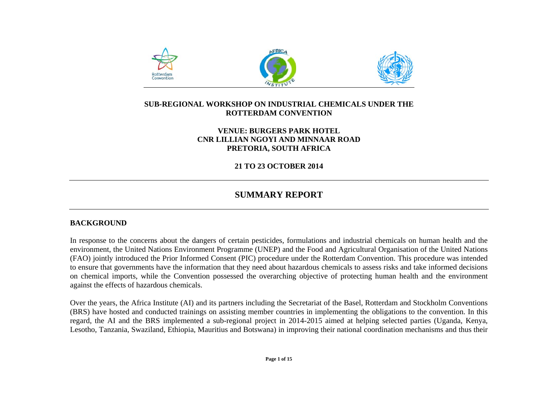

## **SUB-REGIONAL WORKSHOP ON INDUSTRIAL CHEMICALS UNDER THE ROTTERDAM CONVENTION**

## **VENUE: BURGERS PARK HOTEL CNR LILLIAN NGOYI AND MINNAAR ROAD PRETORIA, SOUTH AFRICA**

**21 TO 23 OCTOBER 2014** 

## **SUMMARY REPORT**

## **BACKGROUND**

In response to the concerns about the dangers of certain pesticides, formulations and industrial chemicals on human health and the environment, the United Nations Environment Programme (UNEP) and the Food and Agricultural Organisation of the United Nations (FAO) jointly introduced the Prior Informed Consent (PIC) procedure under the Rotterdam Convention. This procedure was intended to ensure that governments have the information that they need about hazardous chemicals to assess risks and take informed decisions on chemical imports, while the Convention possessed the overarching objective of protecting human health and the environment against the effects of hazardous chemicals.

Over the years, the Africa Institute (AI) and its partners including the Secretariat of the Basel, Rotterdam and Stockholm Conventions (BRS) have hosted and conducted trainings on assisting member countries in implementing the obligations to the convention. In this regard, the AI and the BRS implemented a sub-regional project in 2014-2015 aimed at helping selected parties (Uganda, Kenya, Lesotho, Tanzania, Swaziland, Ethiopia, Mauritius and Botswana) in improving their national coordination mechanisms and thus their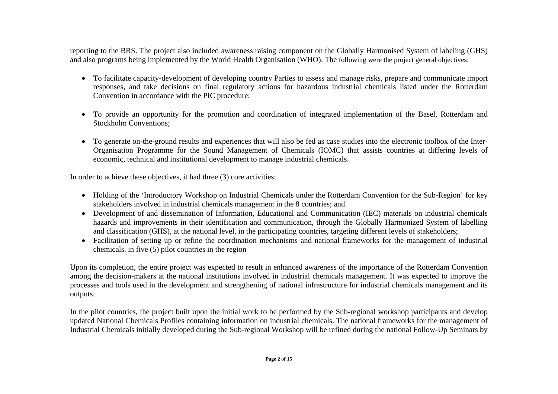reporting to the BRS. The project also included awareness raising component on the Globally Harmonised System of labeling (GHS) and also programs being implemented by the World Health Organisation (WHO). The following were the project general objectives:

- To facilitate capacity-development of developing country Parties to assess and manage risks, prepare and communicate import responses, and take decisions on final regulatory actions for hazardous industrial chemicals listed under the Rotterdam Convention in accordance with the PIC procedure;
- To provide an opportunity for the promotion and coordination of integrated implementation of the Basel, Rotterdam and Stockholm Conventions;
- To generate on-the-ground results and experiences that will also be fed as case studies into the electronic toolbox of the Inter-Organisation Programme for the Sound Management of Chemicals (IOMC) that assists countries at differing levels of economic, technical and institutional development to manage industrial chemicals.

In order to achieve these objectives, it had three (3) core activities:

- Holding of the 'Introductory Workshop on Industrial Chemicals under the Rotterdam Convention for the Sub-Region' for key stakeholders involved in industrial chemicals management in the 8 countries; and.
- Development of and dissemination of Information, Educational and Communication (IEC) materials on industrial chemicals hazards and improvements in their identification and communication, through the Globally Harmonized System of labelling and classification (GHS), at the national level, in the participating countries, targeting different levels of stakeholders;
- Facilitation of setting up or refine the coordination mechanisms and national frameworks for the management of industrial chemicals. in five (5) pilot countries in the region

Upon its completion, the entire project was expected to result in enhanced awareness of the importance of the Rotterdam Convention among the decision-makers at the national institutions involved in industrial chemicals management. It was expected to improve the processes and tools used in the development and strengthening of national infrastructure for industrial chemicals management and its outputs.

In the pilot countries, the project built upon the initial work to be performed by the Sub-regional workshop participants and develop updated National Chemicals Profiles containing information on industrial chemicals. The national frameworks for the management of Industrial Chemicals initially developed during the Sub-regional Workshop will be refined during the national Follow-Up Seminars by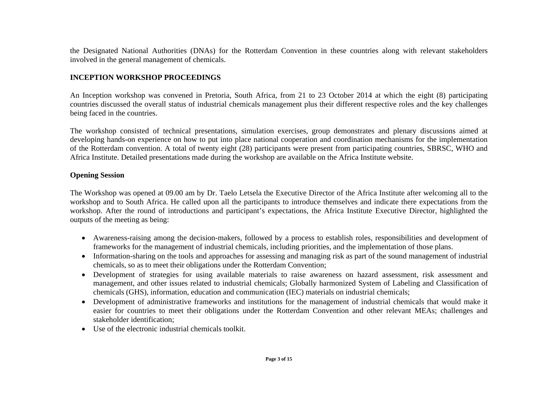the Designated National Authorities (DNAs) for the Rotterdam Convention in these countries along with relevant stakeholders involved in the general management of chemicals.

## **INCEPTION WORKSHOP PROCEEDINGS**

An Inception workshop was convened in Pretoria, South Africa, from 21 to 23 October 2014 at which the eight (8) participating countries discussed the overall status of industrial chemicals management plus their different respective roles and the key challenges being faced in the countries.

The workshop consisted of technical presentations, simulation exercises, group demonstrates and plenary discussions aimed at developing hands-on experience on how to put into place national cooperation and coordination mechanisms for the implementation of the Rotterdam convention. A total of twenty eight (28) participants were present from participating countries, SBRSC, WHO and Africa Institute. Detailed presentations made during the workshop are available on the Africa Institute website.

#### **Opening Session**

The Workshop was opened at 09.00 am by Dr. Taelo Letsela the Executive Director of the Africa Institute after welcoming all to the workshop and to South Africa. He called upon all the participants to introduce themselves and indicate there expectations from the workshop. After the round of introductions and participant's expectations, the Africa Institute Executive Director, highlighted the outputs of the meeting as being:

- Awareness-raising among the decision-makers, followed by a process to establish roles, responsibilities and development of frameworks for the management of industrial chemicals, including priorities, and the implementation of those plans.
- Information-sharing on the tools and approaches for assessing and managing risk as part of the sound management of industrial chemicals, so as to meet their obligations under the Rotterdam Convention;
- Development of strategies for using available materials to raise awareness on hazard assessment, risk assessment and management, and other issues related to industrial chemicals; Globally harmonized System of Labeling and Classification of chemicals (GHS), information, education and communication (IEC) materials on industrial chemicals;
- Development of administrative frameworks and institutions for the management of industrial chemicals that would make it easier for countries to meet their obligations under the Rotterdam Convention and other relevant MEAs; challenges and stakeholder identification;
- Use of the electronic industrial chemicals toolkit.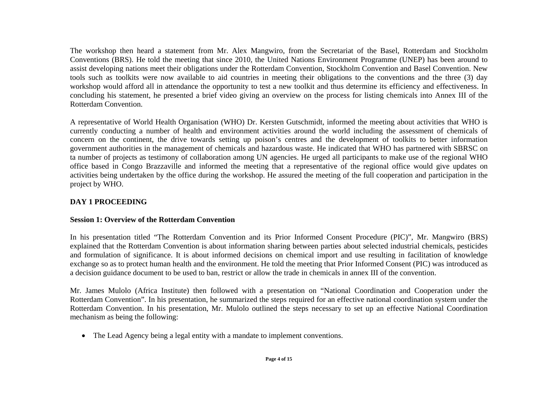The workshop then heard a statement from Mr. Alex Mangwiro, from the Secretariat of the Basel, Rotterdam and Stockholm Conventions (BRS). He told the meeting that since 2010, the United Nations Environment Programme (UNEP) has been around to assist developing nations meet their obligations under the Rotterdam Convention, Stockholm Convention and Basel Convention. New tools such as toolkits were now available to aid countries in meeting their obligations to the conventions and the three (3) day workshop would afford all in attendance the opportunity to test a new toolkit and thus determine its efficiency and effectiveness. In concluding his statement, he presented a brief video giving an overview on the process for listing chemicals into Annex III of the Rotterdam Convention.

A representative of World Health Organisation (WHO) Dr. Kersten Gutschmidt, informed the meeting about activities that WHO is currently conducting a number of health and environment activities around the world including the assessment of chemicals of concern on the continent, the drive towards setting up poison's centres and the development of toolkits to better information government authorities in the management of chemicals and hazardous waste. He indicated that WHO has partnered with SBRSC on ta number of projects as testimony of collaboration among UN agencies. He urged all participants to make use of the regional WHO office based in Congo Brazzaville and informed the meeting that a representative of the regional office would give updates on activities being undertaken by the office during the workshop. He assured the meeting of the full cooperation and participation in the project by WHO.

## **DAY 1 PROCEEDING**

## **Session 1: Overview of the Rotterdam Convention**

In his presentation titled "The Rotterdam Convention and its Prior Informed Consent Procedure (PIC)", Mr. Mangwiro (BRS) explained that the Rotterdam Convention is about information sharing between parties about selected industrial chemicals, pesticides and formulation of significance. It is about informed decisions on chemical import and use resulting in facilitation of knowledge exchange so as to protect human health and the environment. He told the meeting that Prior Informed Consent (PIC) was introduced as a decision guidance document to be used to ban, restrict or allow the trade in chemicals in annex III of the convention.

Mr. James Mulolo (Africa Institute) then followed with a presentation on "National Coordination and Cooperation under the Rotterdam Convention". In his presentation, he summarized the steps required for an effective national coordination system under the Rotterdam Convention. In his presentation, Mr. Mulolo outlined the steps necessary to set up an effective National Coordination mechanism as being the following:

• The Lead Agency being a legal entity with a mandate to implement conventions.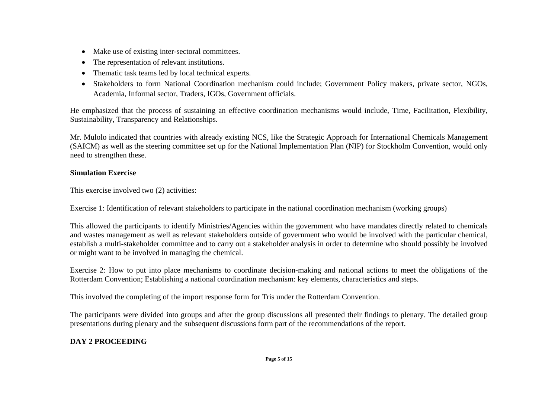- Make use of existing inter-sectoral committees.
- The representation of relevant institutions.
- Thematic task teams led by local technical experts.
- Stakeholders to form National Coordination mechanism could include; Government Policy makers, private sector, NGOs, Academia, Informal sector, Traders, IGOs, Government officials.

He emphasized that the process of sustaining an effective coordination mechanisms would include, Time, Facilitation, Flexibility, Sustainability, Transparency and Relationships.

Mr. Mulolo indicated that countries with already existing NCS, like the Strategic Approach for International Chemicals Management (SAICM) as well as the steering committee set up for the National Implementation Plan (NIP) for Stockholm Convention, would only need to strengthen these.

## **Simulation Exercise**

This exercise involved two (2) activities:

Exercise 1: Identification of relevant stakeholders to participate in the national coordination mechanism (working groups)

This allowed the participants to identify Ministries/Agencies within the government who have mandates directly related to chemicals and wastes management as well as relevant stakeholders outside of government who would be involved with the particular chemical, establish a multi-stakeholder committee and to carry out a stakeholder analysis in order to determine who should possibly be involved or might want to be involved in managing the chemical.

Exercise 2: How to put into place mechanisms to coordinate decision-making and national actions to meet the obligations of the Rotterdam Convention; Establishing a national coordination mechanism: key elements, characteristics and steps.

This involved the completing of the import response form for Tris under the Rotterdam Convention.

The participants were divided into groups and after the group discussions all presented their findings to plenary. The detailed group presentations during plenary and the subsequent discussions form part of the recommendations of the report.

## **DAY 2 PROCEEDING**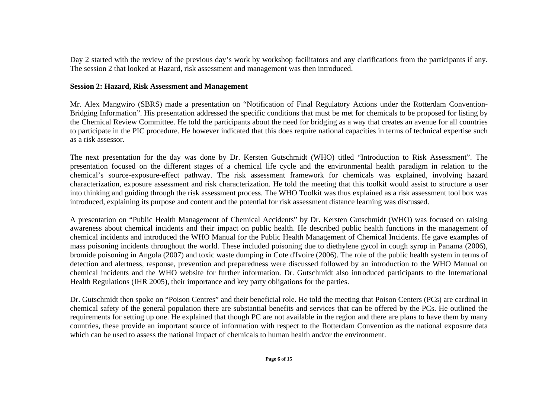Day 2 started with the review of the previous day's work by workshop facilitators and any clarifications from the participants if any. The session 2 that looked at Hazard, risk assessment and management was then introduced.

#### **Session 2: Hazard, Risk Assessment and Management**

Mr. Alex Mangwiro (SBRS) made a presentation on "Notification of Final Regulatory Actions under the Rotterdam Convention-Bridging Information". His presentation addressed the specific conditions that must be met for chemicals to be proposed for listing by the Chemical Review Committee. He told the participants about the need for bridging as a way that creates an avenue for all countries to participate in the PIC procedure. He however indicated that this does require national capacities in terms of technical expertise such as a risk assessor.

The next presentation for the day was done by Dr. Kersten Gutschmidt (WHO) titled "Introduction to Risk Assessment". The presentation focused on the different stages of a chemical life cycle and the environmental health paradigm in relation to the chemical's source-exposure-effect pathway. The risk assessment framework for chemicals was explained, involving hazard characterization, exposure assessment and risk characterization. He told the meeting that this toolkit would assist to structure a user into thinking and guiding through the risk assessment process. The WHO Toolkit was thus explained as a risk assessment tool box was introduced, explaining its purpose and content and the potential for risk assessment distance learning was discussed.

A presentation on "Public Health Management of Chemical Accidents" by Dr. Kersten Gutschmidt (WHO) was focused on raising awareness about chemical incidents and their impact on public health. He described public health functions in the management of chemical incidents and introduced the WHO Manual for the Public Health Management of Chemical Incidents. He gave examples of mass poisoning incidents throughout the world. These included poisoning due to diethylene gycol in cough syrup in Panama (2006), bromide poisoning in Angola (2007) and toxic waste dumping in Cote d'Ivoire (2006). The role of the public health system in terms of detection and alertness, response, prevention and preparedness were discussed followed by an introduction to the WHO Manual on chemical incidents and the WHO website for further information. Dr. Gutschmidt also introduced participants to the International Health Regulations (IHR 2005), their importance and key party obligations for the parties.

Dr. Gutschmidt then spoke on "Poison Centres" and their beneficial role. He told the meeting that Poison Centers (PCs) are cardinal in chemical safety of the general population there are substantial benefits and services that can be offered by the PCs. He outlined the requirements for setting up one. He explained that though PC are not available in the region and there are plans to have them by many countries, these provide an important source of information with respect to the Rotterdam Convention as the national exposure data which can be used to assess the national impact of chemicals to human health and/or the environment.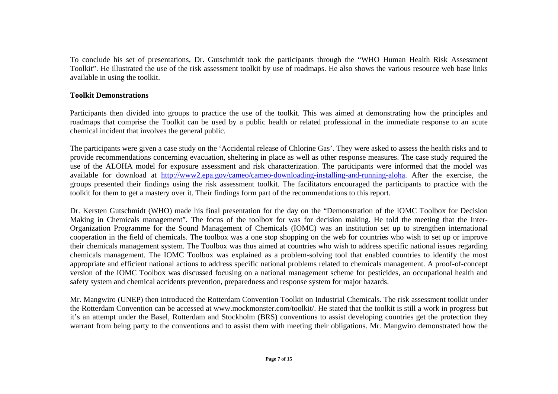To conclude his set of presentations, Dr. Gutschmidt took the participants through the "WHO Human Health Risk Assessment Toolkit". He illustrated the use of the risk assessment toolkit by use of roadmaps. He also shows the various resource web base links available in using the toolkit.

#### **Toolkit Demonstrations**

Participants then divided into groups to practice the use of the toolkit. This was aimed at demonstrating how the principles and roadmaps that comprise the Toolkit can be used by a public health or related professional in the immediate response to an acute chemical incident that involves the general public.

The participants were given a case study on the 'Accidental release of Chlorine Gas'. They were asked to assess the health risks and to provide recommendations concerning evacuation, sheltering in place as well as other response measures. The case study required the use of the ALOHA model for exposure assessment and risk characterization. The participants were informed that the model was available for download at http://www2.epa.gov/cameo/cameo-downloading-installing-and-running-aloha. After the exercise, the groups presented their findings using the risk assessment toolkit. The facilitators encouraged the participants to practice with the toolkit for them to get a mastery over it. Their findings form part of the recommendations to this report.

Dr. Kersten Gutschmidt (WHO) made his final presentation for the day on the "Demonstration of the IOMC Toolbox for Decision Making in Chemicals management". The focus of the toolbox for was for decision making. He told the meeting that the Inter-Organization Programme for the Sound Management of Chemicals (IOMC) was an institution set up to strengthen international cooperation in the field of chemicals. The toolbox was a one stop shopping on the web for countries who wish to set up or improve their chemicals management system. The Toolbox was thus aimed at countries who wish to address specific national issues regarding chemicals management. The IOMC Toolbox was explained as a problem-solving tool that enabled countries to identify the most appropriate and efficient national actions to address specific national problems related to chemicals management. A proof-of-concept version of the IOMC Toolbox was discussed focusing on a national management scheme for pesticides, an occupational health and safety system and chemical accidents prevention, preparedness and response system for major hazards.

Mr. Mangwiro (UNEP) then introduced the Rotterdam Convention Toolkit on Industrial Chemicals. The risk assessment toolkit under the Rotterdam Convention can be accessed at www.mockmonster.com/toolkit/. He stated that the toolkit is still a work in progress but it's an attempt under the Basel, Rotterdam and Stockholm (BRS) conventions to assist developing countries get the protection they warrant from being party to the conventions and to assist them with meeting their obligations. Mr. Mangwiro demonstrated how the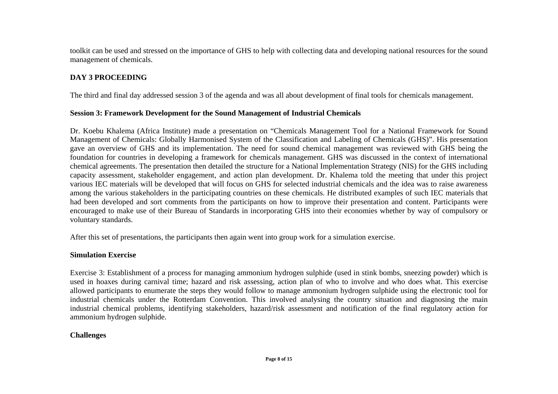toolkit can be used and stressed on the importance of GHS to help with collecting data and developing national resources for the sound management of chemicals.

## **DAY 3 PROCEEDING**

The third and final day addressed session 3 of the agenda and was all about development of final tools for chemicals management.

#### **Session 3: Framework Development for the Sound Management of Industrial Chemicals**

Dr. Koebu Khalema (Africa Institute) made a presentation on "Chemicals Management Tool for a National Framework for Sound Management of Chemicals: Globally Harmonised System of the Classification and Labeling of Chemicals (GHS)". His presentation gave an overview of GHS and its implementation. The need for sound chemical management was reviewed with GHS being the foundation for countries in developing a framework for chemicals management. GHS was discussed in the context of international chemical agreements. The presentation then detailed the structure for a National Implementation Strategy (NIS) for the GHS including capacity assessment, stakeholder engagement, and action plan development. Dr. Khalema told the meeting that under this project various IEC materials will be developed that will focus on GHS for selected industrial chemicals and the idea was to raise awareness among the various stakeholders in the participating countries on these chemicals. He distributed examples of such IEC materials that had been developed and sort comments from the participants on how to improve their presentation and content. Participants were encouraged to make use of their Bureau of Standards in incorporating GHS into their economies whether by way of compulsory or voluntary standards.

After this set of presentations, the participants then again went into group work for a simulation exercise.

#### **Simulation Exercise**

Exercise 3: Establishment of a process for managing ammonium hydrogen sulphide (used in stink bombs, sneezing powder) which is used in hoaxes during carnival time; hazard and risk assessing, action plan of who to involve and who does what. This exercise allowed participants to enumerate the steps they would follow to manage ammonium hydrogen sulphide using the electronic tool for industrial chemicals under the Rotterdam Convention. This involved analysing the country situation and diagnosing the main industrial chemical problems, identifying stakeholders, hazard/risk assessment and notification of the final regulatory action for ammonium hydrogen sulphide.

## **Challenges**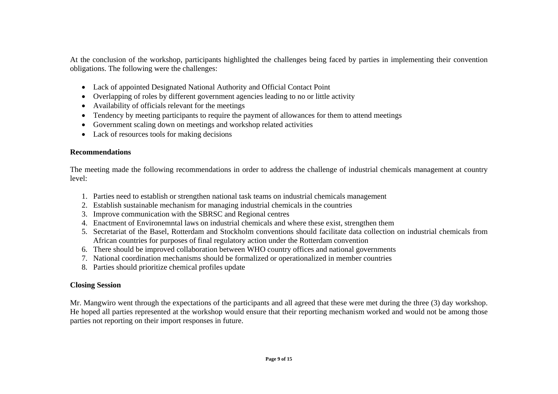At the conclusion of the workshop, participants highlighted the challenges being faced by parties in implementing their convention obligations. The following were the challenges:

- Lack of appointed Designated National Authority and Official Contact Point
- Overlapping of roles by different government agencies leading to no or little activity
- Availability of officials relevant for the meetings
- 0 Tendency by meeting participants to require the payment of allowances for them to attend meetings
- Government scaling down on meetings and workshop related activities
- Lack of resources tools for making decisions

## **Recommendations**

The meeting made the following recommendations in order to address the challenge of industrial chemicals management at country level:

- 1. Parties need to establish or strengthen national task teams on industrial chemicals management
- 2. Establish sustainable mechanism for managing industrial chemicals in the countries
- 3. Improve communication with the SBRSC and Regional centres
- 4. Enactment of Environemntal laws on industrial chemicals and where these exist, strengthen them
- 5. Secretariat of the Basel, Rotterdam and Stockholm conventions should facilitate data collection on industrial chemicals from African countries for purposes of final regulatory action under the Rotterdam convention
- 6. There should be improved collaboration between WHO country offices and national governments
- 7. National coordination mechanisms should be formalized or operationalized in member countries
- 8. Parties should prioritize chemical profiles update

## **Closing Session**

Mr. Mangwiro went through the expectations of the participants and all agreed that these were met during the three (3) day workshop. He hoped all parties represented at the workshop would ensure that their reporting mechanism worked and would not be among those parties not reporting on their import responses in future.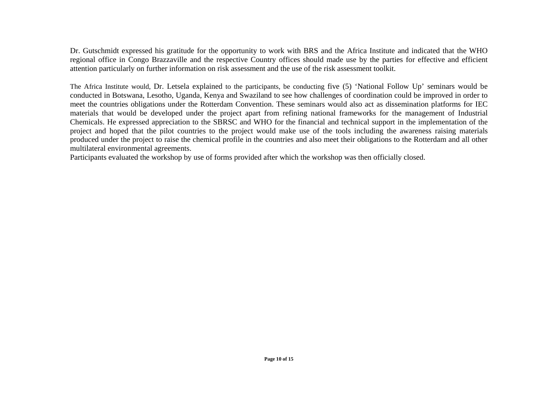Dr. Gutschmidt expressed his gratitude for the opportunity to work with BRS and the Africa Institute and indicated that the WHO regional office in Congo Brazzaville and the respective Country offices should made use by the parties for effective and efficient attention particularly on further information on risk assessment and the use of the risk assessment toolkit.

The Africa Institute would, Dr. Letsela explained to the participants, be conducting five (5) 'National Follow Up' seminars would be conducted in Botswana, Lesotho, Uganda, Kenya and Swaziland to see how challenges of coordination could be improved in order to meet the countries obligations under the Rotterdam Convention. These seminars would also act as dissemination platforms for IEC materials that would be developed under the project apart from refining national frameworks for the management of Industrial Chemicals. He expressed appreciation to the SBRSC and WHO for the financial and technical support in the implementation of the project and hoped that the pilot countries to the project would make use of the tools including the awareness raising materials produced under the project to raise the chemical profile in the countries and also meet their obligations to the Rotterdam and all other multilateral environmental agreements.

Participants evaluated the workshop by use of forms provided after which the workshop was then officially closed.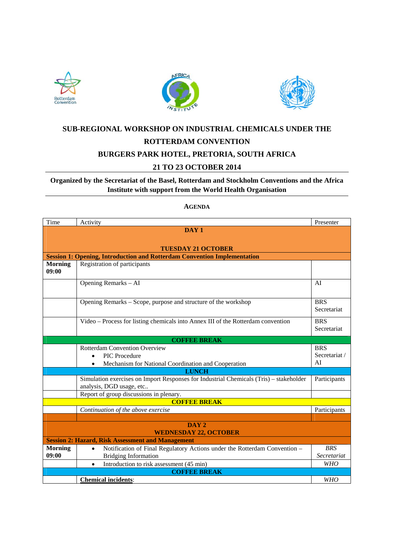





# **SUB-REGIONAL WORKSHOP ON INDUSTRIAL CHEMICALS UNDER THE ROTTERDAM CONVENTION BURGERS PARK HOTEL, PRETORIA, SOUTH AFRICA**

## **21 TO 23 OCTOBER 2014**

## **Organized by the Secretariat of the Basel, Rotterdam and Stockholm Conventions and the Africa Institute with support from the World Health Organisation**

**AGENDA**

| Time                                                     | Activity                                                                                                           | Presenter                 |  |  |  |  |
|----------------------------------------------------------|--------------------------------------------------------------------------------------------------------------------|---------------------------|--|--|--|--|
|                                                          | DAY <sub>1</sub>                                                                                                   |                           |  |  |  |  |
|                                                          |                                                                                                                    |                           |  |  |  |  |
|                                                          | <b>TUESDAY 21 OCTOBER</b>                                                                                          |                           |  |  |  |  |
|                                                          | <b>Session 1: Opening, Introduction and Rotterdam Convention Implementation</b>                                    |                           |  |  |  |  |
| <b>Morning</b><br>09:00                                  | Registration of participants                                                                                       |                           |  |  |  |  |
|                                                          | Opening Remarks - AI                                                                                               | AI                        |  |  |  |  |
|                                                          | Opening Remarks – Scope, purpose and structure of the workshop                                                     | <b>BRS</b><br>Secretariat |  |  |  |  |
|                                                          | Video - Process for listing chemicals into Annex III of the Rotterdam convention                                   | <b>BRS</b><br>Secretariat |  |  |  |  |
| <b>COFFEE BREAK</b>                                      |                                                                                                                    |                           |  |  |  |  |
|                                                          | <b>Rotterdam Convention Overview</b>                                                                               | <b>BRS</b>                |  |  |  |  |
| <b>PIC</b> Procedure                                     |                                                                                                                    |                           |  |  |  |  |
|                                                          | Mechanism for National Coordination and Cooperation                                                                | AI                        |  |  |  |  |
|                                                          | <b>LUNCH</b>                                                                                                       |                           |  |  |  |  |
|                                                          | Simulation exercises on Import Responses for Industrial Chemicals (Tris) – stakeholder<br>analysis, DGD usage, etc | Participants              |  |  |  |  |
|                                                          | Report of group discussions in plenary.                                                                            |                           |  |  |  |  |
|                                                          | <b>COFFEE BREAK</b>                                                                                                |                           |  |  |  |  |
|                                                          | Continuation of the above exercise                                                                                 | Participants              |  |  |  |  |
|                                                          |                                                                                                                    |                           |  |  |  |  |
| DAY <sub>2</sub><br><b>WEDNESDAY 22, OCTOBER</b>         |                                                                                                                    |                           |  |  |  |  |
| <b>Session 2: Hazard, Risk Assessment and Management</b> |                                                                                                                    |                           |  |  |  |  |
| <b>Morning</b>                                           | Notification of Final Regulatory Actions under the Rotterdam Convention -                                          | <b>BRS</b>                |  |  |  |  |
| 09:00                                                    | <b>Bridging Information</b>                                                                                        | Secretariat               |  |  |  |  |
|                                                          | Introduction to risk assessment (45 min)<br>$\bullet$                                                              | <b>WHO</b>                |  |  |  |  |
|                                                          | <b>COFFEE BREAK</b><br><b>Chemical incidents:</b>                                                                  | <b>WHO</b>                |  |  |  |  |
|                                                          |                                                                                                                    |                           |  |  |  |  |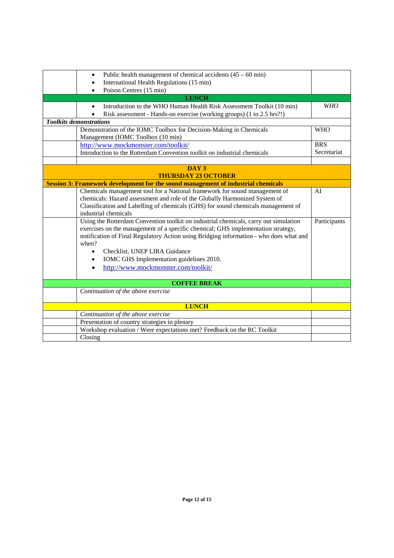|              | Public health management of chemical accidents $(45 - 60 \text{ min})$<br>٠            |              |  |  |  |  |
|--------------|----------------------------------------------------------------------------------------|--------------|--|--|--|--|
|              | International Health Regulations (15 min)                                              |              |  |  |  |  |
|              | Poison Centres (15 min)                                                                |              |  |  |  |  |
|              | <b>LUNCH</b>                                                                           |              |  |  |  |  |
|              | Introduction to the WHO Human Health Risk Assessment Toolkit (10 min)<br>$\bullet$     | <b>WHO</b>   |  |  |  |  |
|              | Risk assessment - Hands-on exercise (working groups) (1 to 2.5 hrs?!)                  |              |  |  |  |  |
|              | <b>Toolkits demonstrations</b>                                                         |              |  |  |  |  |
|              | Demonstration of the IOMC Toolbox for Decision-Making in Chemicals                     | <b>WHO</b>   |  |  |  |  |
|              | Management (IOMC Toolbox (10 min)                                                      |              |  |  |  |  |
|              | http://www.mockmonster.com/toolkit/                                                    | <b>BRS</b>   |  |  |  |  |
|              | Introduction to the Rotterdam Convention toolkit on industrial chemicals               | Secretariat  |  |  |  |  |
|              |                                                                                        |              |  |  |  |  |
|              | DAY <sub>3</sub>                                                                       |              |  |  |  |  |
|              | <b>THURSDAY 23 OCTOBER</b>                                                             |              |  |  |  |  |
|              | Session 3: Framework development for the sound management of industrial chemicals      |              |  |  |  |  |
|              | Chemicals management tool for a National framework for sound management of             | AI           |  |  |  |  |
|              | chemicals: Hazard assessment and role of the Globally Harmonized System of             |              |  |  |  |  |
|              | Classification and Labelling of chemicals (GHS) for sound chemicals management of      |              |  |  |  |  |
|              | industrial chemicals                                                                   |              |  |  |  |  |
|              | Using the Rotterdam Convention toolkit on industrial chemicals, carry out simulation   | Participants |  |  |  |  |
|              | exercises on the management of a specific chemical; GHS implementation strategy,       |              |  |  |  |  |
|              | notification of Final Regulatory Action using Bridging information - who does what and |              |  |  |  |  |
|              | when?                                                                                  |              |  |  |  |  |
|              | Checklist, UNEP LIRA Guidance<br>$\bullet$                                             |              |  |  |  |  |
|              | IOMC GHS Implementation guidelines 2010.<br>$\bullet$                                  |              |  |  |  |  |
|              | http://www.mockmonster.com/toolkit/<br>$\bullet$                                       |              |  |  |  |  |
|              |                                                                                        |              |  |  |  |  |
|              | <b>COFFEE BREAK</b>                                                                    |              |  |  |  |  |
|              | Continuation of the above exercise                                                     |              |  |  |  |  |
|              |                                                                                        |              |  |  |  |  |
| <b>LUNCH</b> |                                                                                        |              |  |  |  |  |
|              | Continuation of the above exercise                                                     |              |  |  |  |  |
|              | Presentation of country strategies in plenary                                          |              |  |  |  |  |
|              | Workshop evaluation / Were expectations met? Feedback on the RC Toolkit                |              |  |  |  |  |
|              | Closing                                                                                |              |  |  |  |  |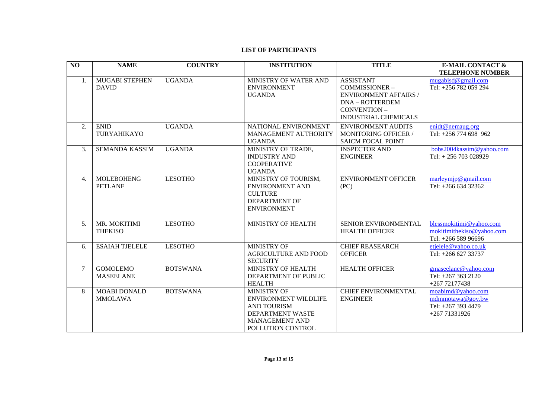#### **LIST OF PARTICIPANTS**

| NO               | <b>NAME</b>                           | <b>COUNTRY</b>  | <b>INSTITUTION</b>                                                                                                                        | <b>TITLE</b>                                                                                                                        | <b>E-MAIL CONTACT &amp;</b>                                                  |
|------------------|---------------------------------------|-----------------|-------------------------------------------------------------------------------------------------------------------------------------------|-------------------------------------------------------------------------------------------------------------------------------------|------------------------------------------------------------------------------|
|                  |                                       |                 |                                                                                                                                           |                                                                                                                                     | <b>TELEPHONE NUMBER</b>                                                      |
| 1.               | <b>MUGABI STEPHEN</b><br><b>DAVID</b> | <b>UGANDA</b>   | MINISTRY OF WATER AND<br><b>ENVIRONMENT</b><br><b>UGANDA</b>                                                                              | <b>ASSISTANT</b><br>COMMISSIONER-<br><b>ENVIRONMENT AFFAIRS /</b><br>DNA - ROTTERDEM<br>CONVENTION -<br><b>INDUSTRIAL CHEMICALS</b> | mugabis d@gmail.com<br>Tel: +256 782 059 294                                 |
| 2.               | <b>ENID</b><br><b>TURYAHIKAYO</b>     | <b>UGANDA</b>   | NATIONAL ENVIRONMENT<br>MANAGEMENT AUTHORITY<br><b>UGANDA</b>                                                                             | <b>ENVIRONMENT AUDITS</b><br><b>MONITORING OFFICER /</b><br><b>SAICM FOCAL POINT</b>                                                | enidt@nemaug.org<br>Tel: +256 774 698 962                                    |
| 3.               | <b>SEMANDA KASSIM</b>                 | <b>UGANDA</b>   | MINISTRY OF TRADE,<br><b>INDUSTRY AND</b><br><b>COOPERATIVE</b><br><b>UGANDA</b>                                                          | <b>INSPECTOR AND</b><br><b>ENGINEER</b>                                                                                             | bobs2004kassim@yahoo.com<br>Tel: +256 703 028929                             |
| $\overline{4}$ . | <b>MOLEBOHENG</b><br><b>PETLANE</b>   | <b>LESOTHO</b>  | MINISTRY OF TOURISM,<br><b>ENVIRONMENT AND</b><br><b>CULTURE</b><br>DEPARTMENT OF<br><b>ENVIRONMENT</b>                                   | <b>ENVIRONMENT OFFICER</b><br>(PC)                                                                                                  | marleymip@gmail.com<br>Tel: +266 634 32362                                   |
| 5.               | MR. MOKITIMI<br><b>THEKISO</b>        | <b>LESOTHO</b>  | MINISTRY OF HEALTH                                                                                                                        | SENIOR ENVIRONMENTAL<br><b>HEALTH OFFICER</b>                                                                                       | blessmokitimi@yahoo.com<br>mokitimithekiso@yahoo.com<br>Tel: +266 589 96696  |
| 6.               | <b>ESAIAH TJELELE</b>                 | <b>LESOTHO</b>  | MINISTRY OF<br><b>AGRICULTURE AND FOOD</b><br><b>SECURITY</b>                                                                             | <b>CHIEF REASEARCH</b><br><b>OFFICER</b>                                                                                            | etjelele@yahoo.co.uk<br>Tel: +266 627 33737                                  |
| $\tau$           | <b>GOMOLEMO</b><br><b>MASEELANE</b>   | <b>BOTSWANA</b> | MINISTRY OF HEALTH<br>DEPARTMENT OF PUBLIC<br><b>HEALTH</b>                                                                               | <b>HEALTH OFFICER</b>                                                                                                               | gmaseelane@yahoo.com<br>Tel: +267 363 2120<br>$+26772177438$                 |
| 8                | <b>MOABI DONALD</b><br><b>MMOLAWA</b> | <b>BOTSWANA</b> | <b>MINISTRY OF</b><br><b>ENVIRONMENT WILDLIFE</b><br><b>AND TOURISM</b><br>DEPARTMENT WASTE<br><b>MANAGEMENT AND</b><br>POLLUTION CONTROL | CHIEF ENVIRONMENTAL<br><b>ENGINEER</b>                                                                                              | moabimd@yahoo.com<br>mdmmotawa@gov.bw<br>Tel: +267 393 4479<br>+267 71331926 |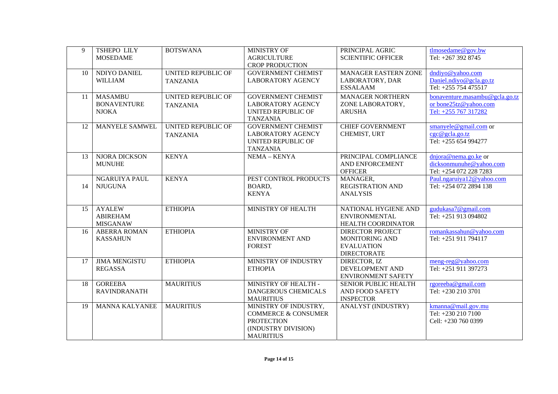| 9  | <b>TSHEPO LILY</b><br><b>MOSEDAME</b>                | <b>BOTSWANA</b>                       | MINISTRY OF<br><b>AGRICULTURE</b><br><b>CROP PRODUCTION</b>                                                             | PRINCIPAL AGRIC<br><b>SCIENTIFIC OFFICER</b>                                         | tlmosedame@gov.bw<br>Tel: +267 392 8745                                         |
|----|------------------------------------------------------|---------------------------------------|-------------------------------------------------------------------------------------------------------------------------|--------------------------------------------------------------------------------------|---------------------------------------------------------------------------------|
| 10 | NDIYO DANIEL<br><b>WILLIAM</b>                       | UNITED REPUBLIC OF<br><b>TANZANIA</b> | <b>GOVERNMENT CHEMIST</b><br><b>LABORATORY AGENCY</b>                                                                   | <b>MANAGER EASTERN ZONE</b><br>LABORATORY, DAR<br><b>ESSALAAM</b>                    | dndiyo@yahoo.com<br>Daniel.ndiyo@gcla.go.tz<br>Tel: +255 754 475517             |
| 11 | <b>MASAMBU</b><br><b>BONAVENTURE</b><br><b>NJOKA</b> | UNITED REPUBLIC OF<br><b>TANZANIA</b> | <b>GOVERNMENT CHEMIST</b><br><b>LABORATORY AGENCY</b><br>UNITED REPUBLIC OF<br><b>TANZANIA</b>                          | <b>MANAGER NORTHERN</b><br>ZONE LABORATORY,<br><b>ARUSHA</b>                         | bonaventure.masambu@gcla.go.tz<br>or bone25tz@yahoo.com<br>Tel: +255 767 317282 |
| 12 | MANYELE SAMWEL                                       | UNITED REPUBLIC OF<br><b>TANZANIA</b> | <b>GOVERNMENT CHEMIST</b><br><b>LABORATORY AGENCY</b><br>UNITED REPUBLIC OF<br><b>TANZANIA</b>                          | <b>CHIEF GOVERNMENT</b><br>CHEMIST, URT                                              | smanyele@gmail.com or<br>cgc@gcla.go.tz<br>Tel: +255 654 994277                 |
| 13 | NJORA DICKSON<br><b>MUNUHE</b>                       | <b>KENYA</b>                          | NEMA - KENYA                                                                                                            | PRINCIPAL COMPLIANCE<br>AND ENFORCEMENT<br><b>OFFICER</b>                            | dnjora@nema.go.ke or<br>dicksonmunuhe@yahoo.com<br>Tel: +254 072 228 7283       |
| 14 | NGARUIYA PAUL<br><b>NJUGUNA</b>                      | <b>KENYA</b>                          | PEST CONTROL PRODUCTS<br>BOARD,<br><b>KENYA</b>                                                                         | MANAGER,<br><b>REGISTRATION AND</b><br><b>ANALYSIS</b>                               | Paul.ngaruiya12@yahoo.com<br>Tel: +254 072 2894 138                             |
| 15 | <b>AYALEW</b><br><b>ABIREHAM</b><br><b>MISGANAW</b>  | <b>ETHIOPIA</b>                       | MINISTRY OF HEALTH                                                                                                      | NATIONAL HYGIENE AND<br><b>ENVIRONMENTAL</b><br>HEALTH COORDINATOR                   | gudukasa7@gmail.com<br>Tel: +251 913 094802                                     |
| 16 | <b>ABERRA ROMAN</b><br><b>KASSAHUN</b>               | <b>ETHIOPIA</b>                       | <b>MINISTRY OF</b><br><b>ENVIRONMENT AND</b><br><b>FOREST</b>                                                           | <b>DIRECTOR PROJECT</b><br>MONITORING AND<br><b>EVALUATION</b><br><b>DIRECTORATE</b> | romankassahun@yahoo.com<br>Tel: +251 911 794117                                 |
| 17 | <b>JIMA MENGISTU</b><br><b>REGASSA</b>               | <b>ETHIOPIA</b>                       | MINISTRY OF INDUSTRY<br><b>ETHOPIA</b>                                                                                  | DIRECTOR, IZ<br>DEVELOPMENT AND<br><b>ENVIRONMENT SAFETY</b>                         | meng-reg@yahoo.com<br>Tel: +251 911 397273                                      |
| 18 | <b>GOREEBA</b><br><b>RAVINDRANATH</b>                | <b>MAURITIUS</b>                      | MINISTRY OF HEALTH -<br>DANGEROUS CHEMICALS<br><b>MAURITIUS</b>                                                         | SENIOR PUBLIC HEALTH<br>AND FOOD SAFETY<br><b>INSPECTOR</b>                          | rgoreeba@gmail.com<br>Tel: +230 210 3701                                        |
| 19 | <b>MANNA KALYANEE</b>                                | <b>MAURITIUS</b>                      | MINISTRY OF INDUSTRY,<br><b>COMMERCE &amp; CONSUMER</b><br><b>PROTECTION</b><br>(INDUSTRY DIVISION)<br><b>MAURITIUS</b> | <b>ANALYST (INDUSTRY)</b>                                                            | kmanna@mail.gov.mu<br>Tel: +230 210 7100<br>Cell: +230 760 0399                 |